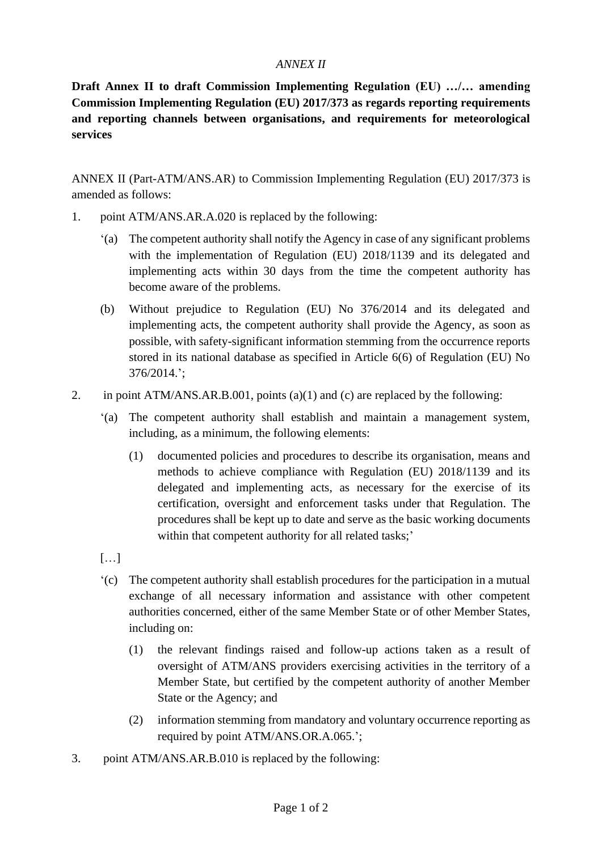## *ANNEX II*

**Draft Annex II to draft Commission Implementing Regulation (EU) …/… amending Commission Implementing Regulation (EU) 2017/373 as regards reporting requirements and reporting channels between organisations, and requirements for meteorological services**

ANNEX II (Part-ATM/ANS.AR) to Commission Implementing Regulation (EU) 2017/373 is amended as follows:

- 1. point ATM/ANS.AR.A.020 is replaced by the following:
	- '(a) The competent authority shall notify the Agency in case of any significant problems with the implementation of Regulation (EU) 2018/1139 and its delegated and implementing acts within 30 days from the time the competent authority has become aware of the problems.
	- (b) Without prejudice to Regulation (EU) No 376/2014 and its delegated and implementing acts, the competent authority shall provide the Agency, as soon as possible, with safety-significant information stemming from the occurrence reports stored in its national database as specified in Article 6(6) of Regulation (EU) No 376/2014.';
- 2. in point ATM/ANS.AR.B.001, points (a)(1) and (c) are replaced by the following:
	- '(a) The competent authority shall establish and maintain a management system, including, as a minimum, the following elements:
		- (1) documented policies and procedures to describe its organisation, means and methods to achieve compliance with Regulation (EU) 2018/1139 and its delegated and implementing acts, as necessary for the exercise of its certification, oversight and enforcement tasks under that Regulation. The procedures shall be kept up to date and serve as the basic working documents within that competent authority for all related tasks;'
	- […]
	- '(c) The competent authority shall establish procedures for the participation in a mutual exchange of all necessary information and assistance with other competent authorities concerned, either of the same Member State or of other Member States, including on:
		- (1) the relevant findings raised and follow-up actions taken as a result of oversight of ATM/ANS providers exercising activities in the territory of a Member State, but certified by the competent authority of another Member State or the Agency; and
		- (2) information stemming from mandatory and voluntary occurrence reporting as required by point ATM/ANS.OR.A.065.';
- 3. point ATM/ANS.AR.B.010 is replaced by the following: